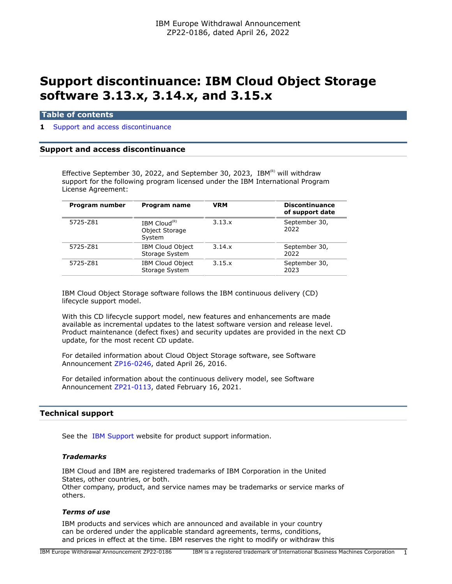# **Support discontinuance: IBM Cloud Object Storage software 3.13.x, 3.14.x, and 3.15.x**

# **Table of contents**

#### **1** [Support and access discontinuance](#page-0-0)

## <span id="page-0-0"></span>**Support and access discontinuance**

Effective September 30, 2022, and September 30, 2023, IBM $^{(R)}$  will withdraw support for the following program licensed under the IBM International Program License Agreement:

| Program number | <b>Program name</b>                                  | <b>VRM</b> | <b>Discontinuance</b><br>of support date |
|----------------|------------------------------------------------------|------------|------------------------------------------|
| 5725-Z81       | IBM Cloud <sup>(R)</sup><br>Object Storage<br>System | 3.13.x     | September 30,<br>2022                    |
| 5725-Z81       | <b>IBM Cloud Object</b><br>Storage System            | 3.14.x     | September 30,<br>2022                    |
| 5725-Z81       | <b>IBM Cloud Object</b><br>Storage System            | 3.15.x     | September 30,<br>2023                    |

IBM Cloud Object Storage software follows the IBM continuous delivery (CD) lifecycle support model.

With this CD lifecycle support model, new features and enhancements are made available as incremental updates to the latest software version and release level. Product maintenance (defect fixes) and security updates are provided in the next CD update, for the most recent CD update.

For detailed information about Cloud Object Storage software, see Software Announcement [ZP16-0246,](http://www.ibm.com/common/ssi/cgi-bin/ssialias?infotype=an&subtype=ca&appname=gpateam&supplier=877&letternum=ENUSZP16-0246) dated April 26, 2016.

For detailed information about the continuous delivery model, see Software Announcement [ZP21-0113,](http://www.ibm.com/common/ssi/cgi-bin/ssialias?infotype=an&subtype=ca&appname=gpateam&supplier=877&letternum=ENUSZP21-0113) dated February 16, 2021.

# **Technical support**

See the [IBM Support](https://www.ibm.com/support) website for product support information.

## *Trademarks*

IBM Cloud and IBM are registered trademarks of IBM Corporation in the United States, other countries, or both. Other company, product, and service names may be trademarks or service marks of others.

#### *Terms of use*

IBM products and services which are announced and available in your country can be ordered under the applicable standard agreements, terms, conditions, and prices in effect at the time. IBM reserves the right to modify or withdraw this